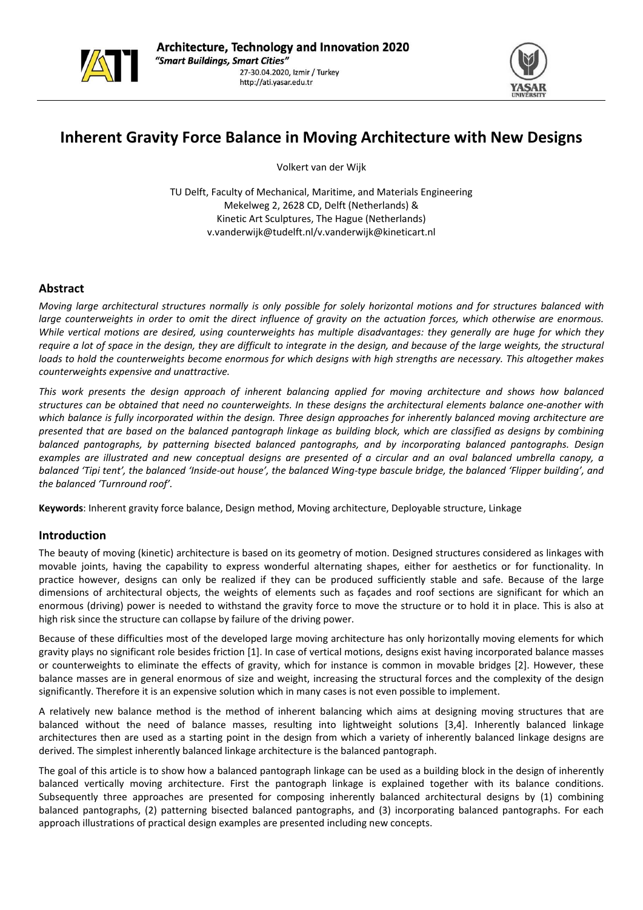



# **Inherent Gravity Force Balance in Moving Architecture with New Designs**

Volkert van der Wijk

TU Delft, Faculty of Mechanical, Maritime, and Materials Engineering Mekelweg 2, 2628 CD, Delft (Netherlands) & Kinetic Art Sculptures, The Hague (Netherlands) v.vanderwijk@tudelft.nl/v.vanderwijk@kineticart.nl

## **Abstract**

Moving large architectural structures normally is only possible for solely horizontal motions and for structures balanced with large counterweights in order to omit the direct influence of gravity on the actuation forces, which otherwise are enormous. While vertical motions are desired, using counterweights has multiple disadvantages: they generally are huge for which they require a lot of space in the design, they are difficult to integrate in the design, and because of the large weights, the structural loads to hold the counterweights become enormous for which designs with high strengths are necessary. This altogether makes *counterweights expensive and unattractive.* 

This work presents the design approach of inherent balancing applied for moving architecture and shows how balanced structures can be obtained that need no counterweights. In these designs the architectural elements balance one-another with which balance is fully incorporated within the design. Three design approaches for inherently balanced moving architecture are presented that are based on the balanced pantograph linkage as building block, which are classified as designs by combining *balanced pantographs, by patterning bisected balanced pantographs, and by incorporating balanced pantographs. Design* examples are illustrated and new conceptual designs are presented of a circular and an oval balanced umbrella canopy, a balanced 'Tipi tent', the balanced 'Inside-out house', the balanced Wing-type bascule bridge, the balanced 'Flipper building', and *the balanced 'Turnround roof'.* 

**Keywords**: Inherent gravity force balance, Design method, Moving architecture, Deployable structure, Linkage

#### **Introduction**

The beauty of moving (kinetic) architecture is based on its geometry of motion. Designed structures considered as linkages with movable joints, having the capability to express wonderful alternating shapes, either for aesthetics or for functionality. In practice however, designs can only be realized if they can be produced sufficiently stable and safe. Because of the large dimensions of architectural objects, the weights of elements such as façades and roof sections are significant for which an enormous (driving) power is needed to withstand the gravity force to move the structure or to hold it in place. This is also at high risk since the structure can collapse by failure of the driving power.

Because of these difficulties most of the developed large moving architecture has only horizontally moving elements for which gravity plays no significant role besides friction [1]. In case of vertical motions, designs exist having incorporated balance masses or counterweights to eliminate the effects of gravity, which for instance is common in movable bridges [2]. However, these balance masses are in general enormous of size and weight, increasing the structural forces and the complexity of the design significantly. Therefore it is an expensive solution which in many cases is not even possible to implement.

A relatively new balance method is the method of inherent balancing which aims at designing moving structures that are balanced without the need of balance masses, resulting into lightweight solutions [3,4]. Inherently balanced linkage architectures then are used as a starting point in the design from which a variety of inherently balanced linkage designs are derived. The simplest inherently balanced linkage architecture is the balanced pantograph.

The goal of this article is to show how a balanced pantograph linkage can be used as a building block in the design of inherently balanced vertically moving architecture. First the pantograph linkage is explained together with its balance conditions. Subsequently three approaches are presented for composing inherently balanced architectural designs by (1) combining balanced pantographs, (2) patterning bisected balanced pantographs, and (3) incorporating balanced pantographs. For each approach illustrations of practical design examples are presented including new concepts.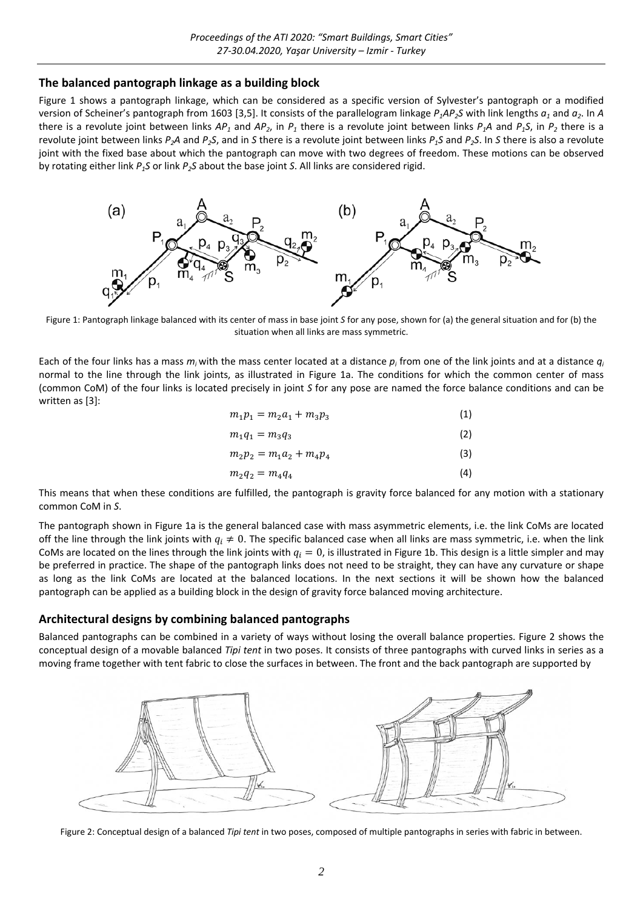## **The balanced pantograph linkage as a building block**

Figure 1 shows a pantograph linkage, which can be considered as a specific version of Sylvester's pantograph or a modified version of Scheiner's pantograph from 1603 [3,5]. It consists of the parallelogram linkage  $P_1AP_2S$  with link lengths  $a_1$  and  $a_2$ . In A there is a revolute joint between links  $AP_1$  and  $AP_2$ , in  $P_1$  there is a revolute joint between links  $P_1A$  and  $P_1S$ , in  $P_2$  there is a revolute joint between links *P2A* and *P2S*, and in *S* there is a revolute joint between links *P1S* and *P2S*. In *S* there is also a revolute joint with the fixed base about which the pantograph can move with two degrees of freedom. These motions can be observed by rotating either link *P1S* or link *P2S* about the base joint *S*. All links are considered rigid.



Figure 1: Pantograph linkage balanced with its center of mass in base joint *S* for any pose, shown for (a) the general situation and for (b) the situation when all links are mass symmetric.

Each of the four links has a mass *mi* with the mass center located at a distance *pi* from one of the link joints and at a distance *qi* normal to the line through the link joints, as illustrated in Figure 1a. The conditions for which the common center of mass (common CoM) of the four links is located precisely in joint *S* for any pose are named the force balance conditions and can be written as [3]:

| $m_1p_1 = m_2a_1 + m_3p_3$ | (1) |
|----------------------------|-----|
| $m_1q_1 = m_3q_3$          | (2) |
| $m_2p_2 = m_1a_2 + m_4p_4$ | (3) |
| $m_2q_2 = m_4q_4$          | (4) |

This means that when these conditions are fulfilled, the pantograph is gravity force balanced for any motion with a stationary common CoM in *S*.

The pantograph shown in Figure 1a is the general balanced case with mass asymmetric elements, i.e. the link CoMs are located off the line through the link joints with  $q_i \neq 0$ . The specific balanced case when all links are mass symmetric, i.e. when the link CoMs are located on the lines through the link joints with  $q_i = 0$ , is illustrated in Figure 1b. This design is a little simpler and may be preferred in practice. The shape of the pantograph links does not need to be straight, they can have any curvature or shape as long as the link CoMs are located at the balanced locations. In the next sections it will be shown how the balanced pantograph can be applied as a building block in the design of gravity force balanced moving architecture.

#### **Architectural designs by combining balanced pantographs**

Balanced pantographs can be combined in a variety of ways without losing the overall balance properties. Figure 2 shows the conceptual design of a movable balanced *Tipi tent* in two poses. It consists of three pantographs with curved links in series as a moving frame together with tent fabric to close the surfaces in between. The front and the back pantograph are supported by



Figure 2: Conceptual design of a balanced *Tipi tent* in two poses, composed of multiple pantographs in series with fabric in between.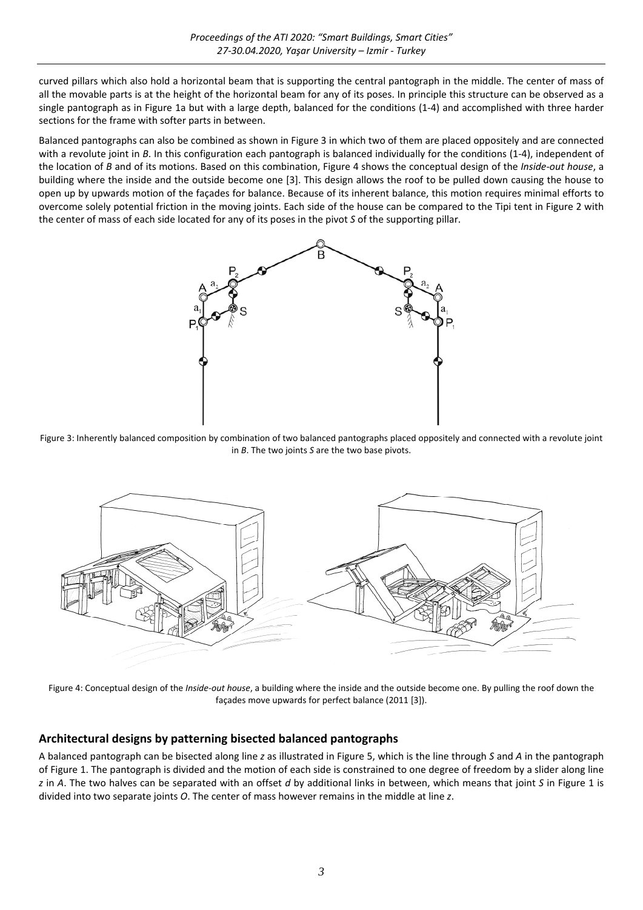curved pillars which also hold a horizontal beam that is supporting the central pantograph in the middle. The center of mass of all the movable parts is at the height of the horizontal beam for any of its poses. In principle this structure can be observed as a single pantograph as in Figure 1a but with a large depth, balanced for the conditions (1‐4) and accomplished with three harder sections for the frame with softer parts in between.

Balanced pantographs can also be combined as shown in Figure 3 in which two of them are placed oppositely and are connected with a revolute joint in *B*. In this configuration each pantograph is balanced individually for the conditions (1-4), independent of the location of *B* and of its motions. Based on this combination, Figure 4 shows the conceptual design of the *Inside‐out house*, a building where the inside and the outside become one [3]. This design allows the roof to be pulled down causing the house to open up by upwards motion of the façades for balance. Because of its inherent balance, this motion requires minimal efforts to overcome solely potential friction in the moving joints. Each side of the house can be compared to the Tipi tent in Figure 2 with the center of mass of each side located for any of its poses in the pivot *S* of the supporting pillar.



Figure 3: Inherently balanced composition by combination of two balanced pantographs placed oppositely and connected with a revolute joint in *B*. The two joints *S* are the two base pivots.



Figure 4: Conceptual design of the *Inside-out house*, a building where the inside and the outside become one. By pulling the roof down the façades move upwards for perfect balance (2011 [3]).

## **Architectural designs by patterning bisected balanced pantographs**

A balanced pantograph can be bisected along line *z* as illustrated in Figure 5, which is the line through *S* and *A* in the pantograph of Figure 1. The pantograph is divided and the motion of each side is constrained to one degree of freedom by a slider along line *z* in *A*. The two halves can be separated with an offset *d* by additional links in between, which means that joint *S* in Figure 1 is divided into two separate joints *O*. The center of mass however remains in the middle at line *z*.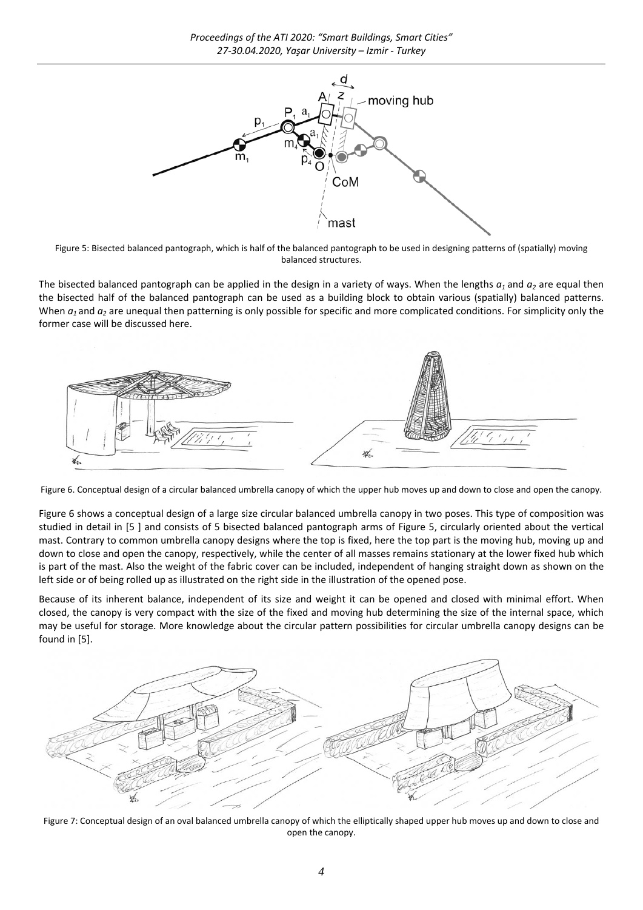

Figure 5: Bisected balanced pantograph, which is half of the balanced pantograph to be used in designing patterns of (spatially) moving balanced structures.

The bisected balanced pantograph can be applied in the design in a variety of ways. When the lengths  $a_1$  and  $a_2$  are equal then the bisected half of the balanced pantograph can be used as a building block to obtain various (spatially) balanced patterns. When  $a_1$  and  $a_2$  are unequal then patterning is only possible for specific and more complicated conditions. For simplicity only the former case will be discussed here.



Figure 6. Conceptual design of a circular balanced umbrella canopy of which the upper hub moves up and down to close and open the canopy.

Figure 6 shows a conceptual design of a large size circular balanced umbrella canopy in two poses. This type of composition was studied in detail in [5 ] and consists of 5 bisected balanced pantograph arms of Figure 5, circularly oriented about the vertical mast. Contrary to common umbrella canopy designs where the top is fixed, here the top part is the moving hub, moving up and down to close and open the canopy, respectively, while the center of all masses remains stationary at the lower fixed hub which is part of the mast. Also the weight of the fabric cover can be included, independent of hanging straight down as shown on the left side or of being rolled up as illustrated on the right side in the illustration of the opened pose.

Because of its inherent balance, independent of its size and weight it can be opened and closed with minimal effort. When closed, the canopy is very compact with the size of the fixed and moving hub determining the size of the internal space, which may be useful for storage. More knowledge about the circular pattern possibilities for circular umbrella canopy designs can be found in [5].



Figure 7: Conceptual design of an oval balanced umbrella canopy of which the elliptically shaped upper hub moves up and down to close and open the canopy.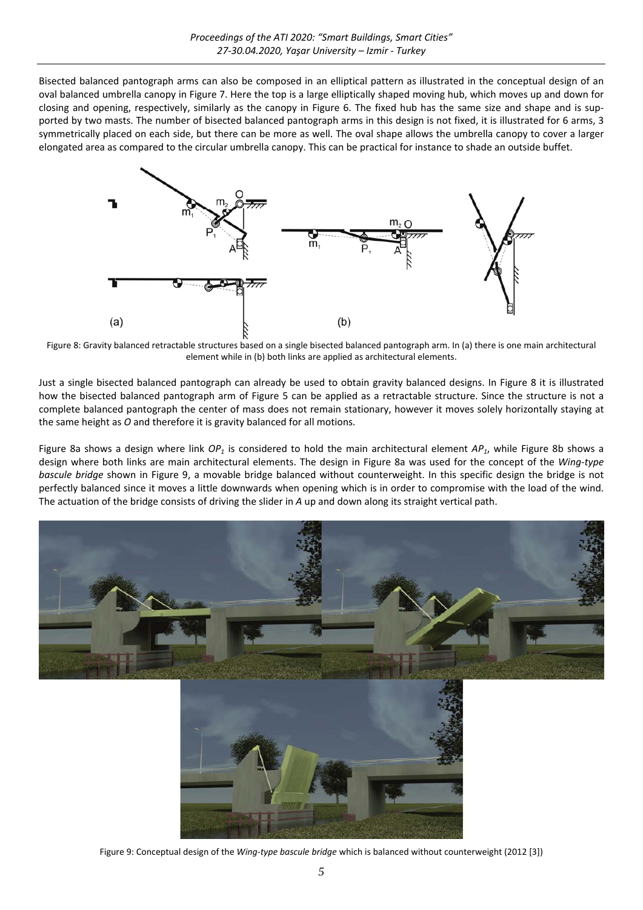Bisected balanced pantograph arms can also be composed in an elliptical pattern as illustrated in the conceptual design of an oval balanced umbrella canopy in Figure 7. Here the top is a large elliptically shaped moving hub, which moves up and down for closing and opening, respectively, similarly as the canopy in Figure 6. The fixed hub has the same size and shape and is sup‐ ported by two masts. The number of bisected balanced pantograph arms in this design is not fixed, it is illustrated for 6 arms, 3 symmetrically placed on each side, but there can be more as well. The oval shape allows the umbrella canopy to cover a larger elongated area as compared to the circular umbrella canopy. This can be practical for instance to shade an outside buffet.



Figure 8: Gravity balanced retractable structures based on a single bisected balanced pantograph arm. In (a) there is one main architectural element while in (b) both links are applied as architectural elements.

Just a single bisected balanced pantograph can already be used to obtain gravity balanced designs. In Figure 8 it is illustrated how the bisected balanced pantograph arm of Figure 5 can be applied as a retractable structure. Since the structure is not a complete balanced pantograph the center of mass does not remain stationary, however it moves solely horizontally staying at the same height as *O* and therefore it is gravity balanced for all motions.

Figure 8a shows a design where link  $OP_1$  is considered to hold the main architectural element  $AP_1$ , while Figure 8b shows a design where both links are main architectural elements. The design in Figure 8a was used for the concept of the *Wing‐type bascule bridge* shown in Figure 9, a movable bridge balanced without counterweight. In this specific design the bridge is not perfectly balanced since it moves a little downwards when opening which is in order to compromise with the load of the wind. The actuation of the bridge consists of driving the slider in *A* up and down along its straight vertical path.



Figure 9: Conceptual design of the *Wing‐type bascule bridge* which is balanced without counterweight (2012 [3])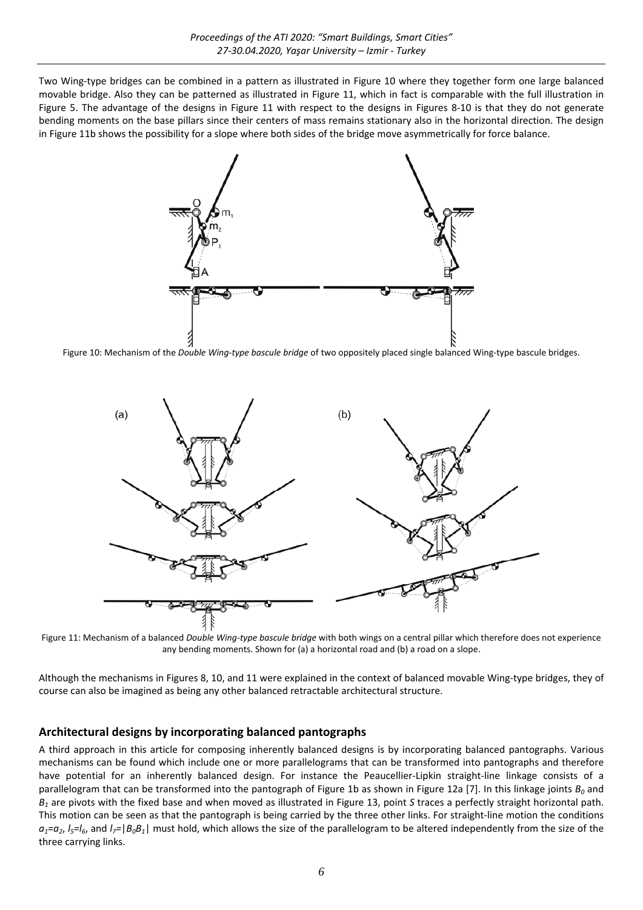Two Wing‐type bridges can be combined in a pattern as illustrated in Figure 10 where they together form one large balanced movable bridge. Also they can be patterned as illustrated in Figure 11, which in fact is comparable with the full illustration in Figure 5. The advantage of the designs in Figure 11 with respect to the designs in Figures 8‐10 is that they do not generate bending moments on the base pillars since their centers of mass remains stationary also in the horizontal direction. The design in Figure 11b shows the possibility for a slope where both sides of the bridge move asymmetrically for force balance.



Figure 10: Mechanism of the *Double Wing‐type bascule bridge* of two oppositely placed single balanced Wing‐type bascule bridges.



Figure 11: Mechanism of a balanced *Double Wing‐type bascule bridge* with both wings on a central pillar which therefore does not experience any bending moments. Shown for (a) a horizontal road and (b) a road on a slope.

Although the mechanisms in Figures 8, 10, and 11 were explained in the context of balanced movable Wing‐type bridges, they of course can also be imagined as being any other balanced retractable architectural structure.

#### **Architectural designs by incorporating balanced pantographs**

A third approach in this article for composing inherently balanced designs is by incorporating balanced pantographs. Various mechanisms can be found which include one or more parallelograms that can be transformed into pantographs and therefore have potential for an inherently balanced design. For instance the Peaucellier‐Lipkin straight‐line linkage consists of a parallelogram that can be transformed into the pantograph of Figure 1b as shown in Figure 12a [7]. In this linkage joints  $B_0$  and *B1* are pivots with the fixed base and when moved as illustrated in Figure 13, point *S* traces a perfectly straight horizontal path. This motion can be seen as that the pantograph is being carried by the three other links. For straight‐line motion the conditions  $a_1=a_2$ ,  $l_5=l_6$ , and  $l_7=|B_0B_1|$  must hold, which allows the size of the parallelogram to be altered independently from the size of the three carrying links.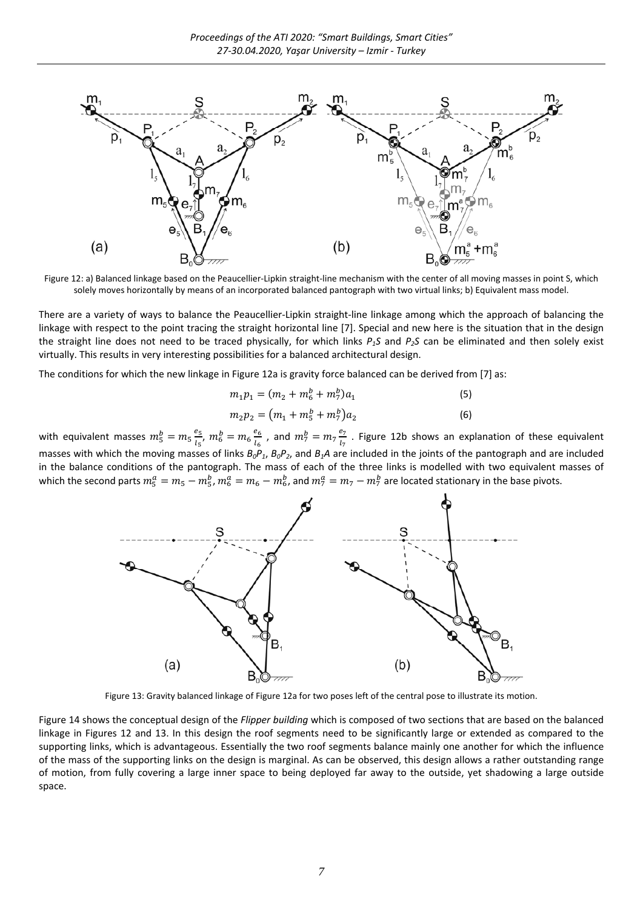

Figure 12: a) Balanced linkage based on the Peaucellier‐Lipkin straight‐line mechanism with the center of all moving masses in point S, which solely moves horizontally by means of an incorporated balanced pantograph with two virtual links; b) Equivalent mass model.

There are a variety of ways to balance the Peaucellier‐Lipkin straight‐line linkage among which the approach of balancing the linkage with respect to the point tracing the straight horizontal line [7]. Special and new here is the situation that in the design the straight line does not need to be traced physically, for which links  $P_1S$  and  $P_2S$  can be eliminated and then solely exist virtually. This results in very interesting possibilities for a balanced architectural design.

The conditions for which the new linkage in Figure 12a is gravity force balanced can be derived from [7] as:

$$
m_1 p_1 = (m_2 + m_6^b + m_7^b) a_1 \tag{5}
$$

$$
m_2 p_2 = (m_1 + m_5^b + m_7^b) a_2 \tag{6}
$$

with equivalent masses  $m_5^b = m_5 \frac{e_5}{h}$  $\frac{e_5}{l_5}$ ,  $m_6^b = m_6 \frac{e_6}{l_6}$  $\frac{e_6}{l_6}$  , and  $m_7^b = m_7 \frac{e_7}{l_7}$  $\frac{57}{l_7}$ . Figure 12b shows an explanation of these equivalent masses with which the moving masses of links *B0P1*, *B0P2*, and *B1A* are included in the joints of the pantograph and are included in the balance conditions of the pantograph. The mass of each of the three links is modelled with two equivalent masses of which the second parts  $m_5^a=m_5-m_5^b$ ,  $m_6^a=m_6-m_6^b$ , and  $m_7^a=m_7-m_7^b$  are located stationary in the base pivots.



Figure 13: Gravity balanced linkage of Figure 12a for two poses left of the central pose to illustrate its motion.

Figure 14 shows the conceptual design of the *Flipper building* which is composed of two sections that are based on the balanced linkage in Figures 12 and 13. In this design the roof segments need to be significantly large or extended as compared to the supporting links, which is advantageous. Essentially the two roof segments balance mainly one another for which the influence of the mass of the supporting links on the design is marginal. As can be observed, this design allows a rather outstanding range of motion, from fully covering a large inner space to being deployed far away to the outside, yet shadowing a large outside space.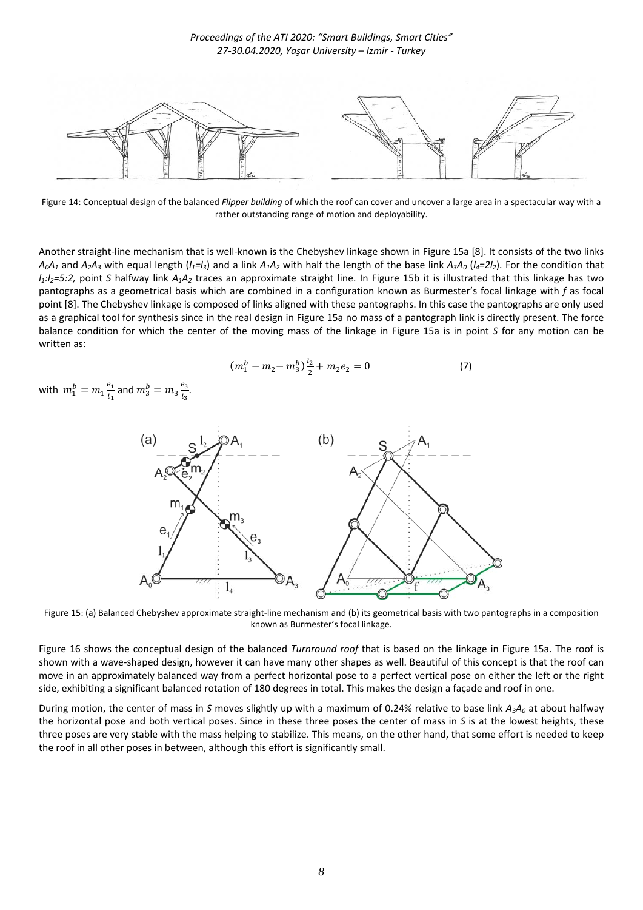

Figure 14: Conceptual design of the balanced *Flipper building* of which the roof can cover and uncover a large area in a spectacular way with a rather outstanding range of motion and deployability.

Another straight‐line mechanism that is well‐known is the Chebyshev linkage shown in Figure 15a [8]. It consists of the two links  $A_0A_1$  and  $A_2A_3$  with equal length ( $I_1=I_3$ ) and a link  $A_1A_2$  with half the length of the base link  $A_3A_0$  ( $I_4=2I_2$ ). For the condition that *l1:l2=5:2,* point *S* halfway link *A1A2* traces an approximate straight line. In Figure 15b it is illustrated that this linkage has two pantographs as a geometrical basis which are combined in a configuration known as Burmester's focal linkage with *f* as focal point [8]. The Chebyshev linkage is composed of links aligned with these pantographs. In this case the pantographs are only used as a graphical tool for synthesis since in the real design in Figure 15a no mass of a pantograph link is directly present. The force balance condition for which the center of the moving mass of the linkage in Figure 15a is in point *S* for any motion can be written as:

$$
(m_1^b - m_2 - m_3^b) \frac{l_2}{2} + m_2 e_2 = 0 \tag{7}
$$

with  $m_1^b = m_1 \frac{e_1}{l_1}$  $\frac{e_1}{l_1}$  and  $m_3^b = m_3 \frac{e_3}{l_3}$  $\frac{c_3}{l_3}$ .



Figure 15: (a) Balanced Chebyshev approximate straight‐line mechanism and (b) its geometrical basis with two pantographs in a composition known as Burmester's focal linkage.

Figure 16 shows the conceptual design of the balanced *Turnround roof* that is based on the linkage in Figure 15a. The roof is shown with a wave‐shaped design, however it can have many other shapes as well. Beautiful of this concept is that the roof can move in an approximately balanced way from a perfect horizontal pose to a perfect vertical pose on either the left or the right side, exhibiting a significant balanced rotation of 180 degrees in total. This makes the design a façade and roof in one.

During motion, the center of mass in *S* moves slightly up with a maximum of 0.24% relative to base link *A3A0* at about halfway the horizontal pose and both vertical poses. Since in these three poses the center of mass in *S* is at the lowest heights, these three poses are very stable with the mass helping to stabilize. This means, on the other hand, that some effort is needed to keep the roof in all other poses in between, although this effort is significantly small.